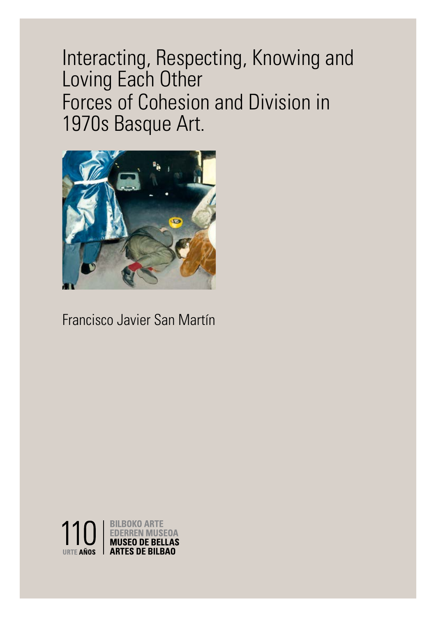Interacting, Respecting, Knowing and Loving Each Other Forces of Cohesion and Division in 1970s Basque Art.

1



# Francisco Javier San Martín

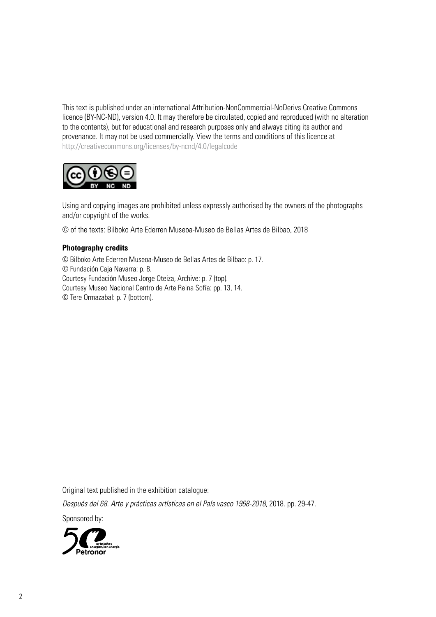This text is published under an international Attribution-NonCommercial-NoDerivs Creative Commons licence (BY-NC-ND), version 4.0. It may therefore be circulated, copied and reproduced (with no alteration to the contents), but for educational and research purposes only and always citing its author and provenance. It may not be used commercially. View the terms and conditions of this licence at http://creativecommons.org/licenses/by-ncnd/4.0/legalcode



Using and copying images are prohibited unless expressly authorised by the owners of the photographs and/or copyright of the works.

© of the texts: Bilboko Arte Ederren Museoa-Museo de Bellas Artes de Bilbao, 2018

#### **Photography credits**

© Bilboko Arte Ederren Museoa-Museo de Bellas Artes de Bilbao: p. 17. © Fundación Caja Navarra: p. 8. Courtesy Fundación Museo Jorge Oteiza, Archive: p. 7 (top). Courtesy Museo Nacional Centro de Arte Reina Sofía: pp. 13, 14. © Tere Ormazabal: p. 7 (bottom).

Original text published in the exhibition catalogue:

Después del 68. Arte y prácticas artísticas en el País vasco 1968-2018, 2018. pp. 29-47.

Sponsored by:

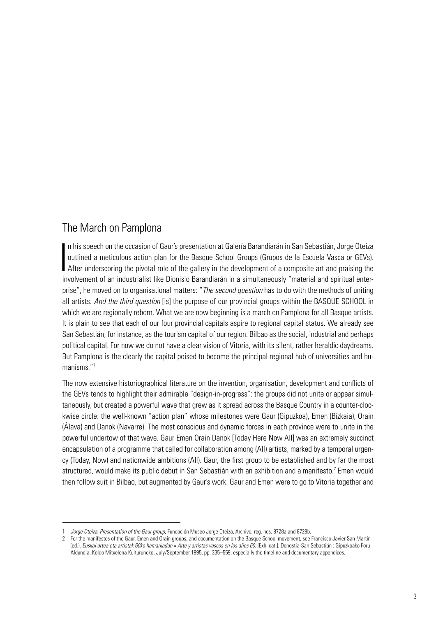# The March on Pamplona

In his speech on the occasion of Gaur's presentation at Galería Barandiarán in San Sebastián, Jorge Oteiza<br>
outlined a meticulous action plan for the Basque School Groups (Grupos de la Escuela Vasca or GEVs).<br>
After unders n his speech on the occasion of Gaur's presentation at Galería Barandiarán in San Sebastián, Jorge Oteiza outlined a meticulous action plan for the Basque School Groups (Grupos de la Escuela Vasca or GEVs). involvement of an industrialist like Dionisio Barandiarán in a simultaneously "material and spiritual enterprise", he moved on to organisational matters: "*The second question* has to do with the methods of uniting all artists. *And the third question* [is] the purpose of our provincial groups within the BASQUE SCHOOL in which we are regionally reborn. What we are now beginning is a march on Pamplona for all Basque artists. It is plain to see that each of our four provincial capitals aspire to regional capital status. We already see San Sebastián, for instance, as the tourism capital of our region. Bilbao as the social, industrial and perhaps political capital. For now we do not have a clear vision of Vitoria, with its silent, rather heraldic daydreams. But Pamplona is the clearly the capital poised to become the principal regional hub of universities and humanisms."1

The now extensive historiographical literature on the invention, organisation, development and conflicts of the GEVs tends to highlight their admirable "design-in-progress": the groups did not unite or appear simultaneously, but created a powerful wave that grew as it spread across the Basque Country in a counter-clockwise circle: the well-known "action plan" whose milestones were Gaur (Gipuzkoa), Emen (Bizkaia), Orain (Álava) and Danok (Navarre). The most conscious and dynamic forces in each province were to unite in the powerful undertow of that wave. Gaur Emen Orain Danok [Today Here Now All] was an extremely succinct encapsulation of a programme that called for collaboration among (All) artists, marked by a temporal urgency (Today, Now) and nationwide ambitions (All). Gaur, the first group to be established and by far the most structured, would make its public debut in San Sebastián with an exhibition and a manifesto.<sup>2</sup> Emen would then follow suit in Bilbao, but augmented by Gaur's work. Gaur and Emen were to go to Vitoria together and

<sup>1</sup> *Jorge Oteiza. Presentation of the Gaur group*, Fundación Museo Jorge Oteiza, Archivo, reg. nos. 8728a and 8728b.

<sup>2</sup> For the manifestos of the Gaur, Emen and Orain groups, and documentation on the Basque School movement, see Francisco Javier San Martín (ed.). *Euskal artea eta artistak 60ko hamarkadan* = *Arte y artistas vascos en los años 60*. [Exh. cat.]. Donostia-San Sebastián : Gipuzkoako Foru Aldundia, Koldo Mitxelena Kulturuneko, July/September 1995, pp. 335–559, especially the timeline and documentary appendices.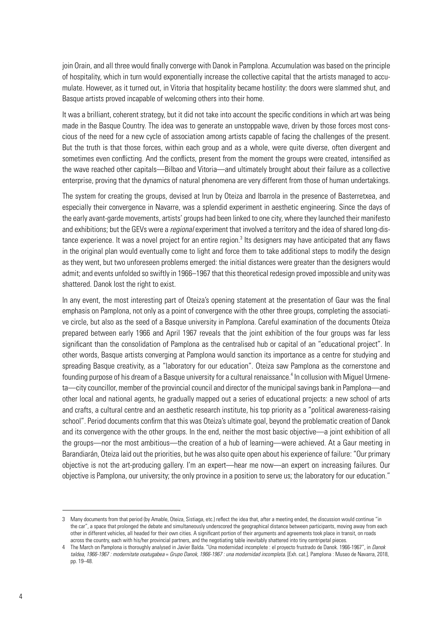join Orain, and all three would finally converge with Danok in Pamplona. Accumulation was based on the principle of hospitality, which in turn would exponentially increase the collective capital that the artists managed to accumulate. However, as it turned out, in Vitoria that hospitality became hostility: the doors were slammed shut, and Basque artists proved incapable of welcoming others into their home.

It was a brilliant, coherent strategy, but it did not take into account the specific conditions in which art was being made in the Basque Country. The idea was to generate an unstoppable wave, driven by those forces most conscious of the need for a new cycle of association among artists capable of facing the challenges of the present. But the truth is that those forces, within each group and as a whole, were quite diverse, often divergent and sometimes even conflicting. And the conflicts, present from the moment the groups were created, intensified as the wave reached other capitals—Bilbao and Vitoria—and ultimately brought about their failure as a collective enterprise, proving that the dynamics of natural phenomena are very different from those of human undertakings.

The system for creating the groups, devised at Irun by Oteiza and Ibarrola in the presence of Basterretxea, and especially their convergence in Navarre, was a splendid experiment in aesthetic engineering. Since the days of the early avant-garde movements, artists' groups had been linked to one city, where they launched their manifesto and exhibitions; but the GEVs were a *regional* experiment that involved a territory and the idea of shared long-distance experience. It was a novel project for an entire region.<sup>3</sup> Its designers may have anticipated that any flaws in the original plan would eventually come to light and force them to take additional steps to modify the design as they went, but two unforeseen problems emerged: the initial distances were greater than the designers would admit; and events unfolded so swiftly in 1966–1967 that this theoretical redesign proved impossible and unity was shattered. Danok lost the right to exist.

In any event, the most interesting part of Oteiza's opening statement at the presentation of Gaur was the final emphasis on Pamplona, not only as a point of convergence with the other three groups, completing the associative circle, but also as the seed of a Basque university in Pamplona. Careful examination of the documents Oteiza prepared between early 1966 and April 1967 reveals that the joint exhibition of the four groups was far less significant than the consolidation of Pamplona as the centralised hub or capital of an "educational project". In other words, Basque artists converging at Pamplona would sanction its importance as a centre for studying and spreading Basque creativity, as a "laboratory for our education". Oteiza saw Pamplona as the cornerstone and founding purpose of his dream of a Basque university for a cultural renaissance.<sup>4</sup> In collusion with Miguel Urmeneta—city councillor, member of the provincial council and director of the municipal savings bank in Pamplona—and other local and national agents, he gradually mapped out a series of educational projects: a new school of arts and crafts, a cultural centre and an aesthetic research institute, his top priority as a "political awareness-raising school". Period documents confirm that this was Oteiza's ultimate goal, beyond the problematic creation of Danok and its convergence with the other groups. In the end, neither the most basic objective—a joint exhibition of all the groups—nor the most ambitious—the creation of a hub of learning—were achieved. At a Gaur meeting in Barandiarán, Oteiza laid out the priorities, but he was also quite open about his experience of failure: "Our primary objective is not the art-producing gallery. I'm an expert—hear me now—an expert on increasing failures. Our objective is Pamplona, our university; the only province in a position to serve us; the laboratory for our education."

<sup>3</sup> Many documents from that period (by Amable, Oteiza, Sistiaga, etc.) reflect the idea that, after a meeting ended, the discussion would continue "in the car", a space that prolonged the debate and simultaneously underscored the geographical distance between participants, moving away from each other in different vehicles, all headed for their own cities. A significant portion of their arguments and agreements took place in transit, on roads across the country, each with his/her provincial partners, and the negotiating table inevitably shattered into tiny centripetal pieces.

<sup>4</sup> The March on Pamplona is thoroughly analysed in Javier Balda. "Una modernidad incomplete : el proyecto frustrado de Danok. 1966-1967", in *Danok taldea, 1966-1967 : modernitate osatugabea* = *Grupo Danok, 1966-1967 : una modernidad incompleta*. [Exh. cat.]. Pamplona : Museo de Navarra, 2018, pp. 19–48.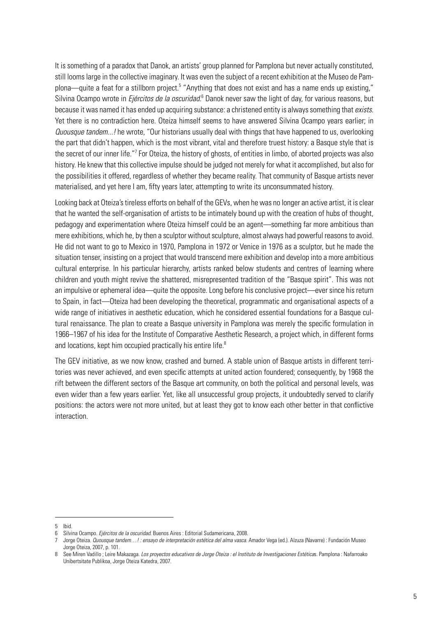It is something of a paradox that Danok, an artists' group planned for Pamplona but never actually constituted, still looms large in the collective imaginary. It was even the subject of a recent exhibition at the Museo de Pamplona—quite a feat for a stillborn project.<sup>5</sup> "Anything that does not exist and has a name ends up existing," Silvina Ocampo wrote in *Ejércitos de la oscuridad*.<sup>6</sup> Danok never saw the light of day, for various reasons, but because it was named it has ended up acquiring substance: a christened entity is always something that *exists*. Yet there is no contradiction here. Oteiza himself seems to have answered Silvina Ocampo years earlier; in *Quousque tandem...!* he wrote, "Our historians usually deal with things that have happened to us, overlooking the part that didn't happen, which is the most vibrant, vital and therefore truest history: a Basque style that is the secret of our inner life."<sup>7</sup> For Oteiza, the history of ghosts, of entities in limbo, of aborted projects was also history. He knew that this collective impulse should be judged not merely for what it accomplished, but also for the possibilities it offered, regardless of whether they became reality. That community of Basque artists never materialised, and yet here I am, fifty years later, attempting to write its unconsummated history.

Looking back at Oteiza's tireless efforts on behalf of the GEVs, when he was no longer an active artist, it is clear that he wanted the self-organisation of artists to be intimately bound up with the creation of hubs of thought, pedagogy and experimentation where Oteiza himself could be an agent—something far more ambitious than mere exhibitions, which he, by then a sculptor without sculpture, almost always had powerful reasons to avoid. He did not want to go to Mexico in 1970, Pamplona in 1972 or Venice in 1976 as a sculptor, but he made the situation tenser, insisting on a project that would transcend mere exhibition and develop into a more ambitious cultural enterprise. In his particular hierarchy, artists ranked below students and centres of learning where children and youth might revive the shattered, misrepresented tradition of the "Basque spirit". This was not an impulsive or ephemeral idea—quite the opposite. Long before his conclusive project—ever since his return to Spain, in fact—Oteiza had been developing the theoretical, programmatic and organisational aspects of a wide range of initiatives in aesthetic education, which he considered essential foundations for a Basque cultural renaissance. The plan to create a Basque university in Pamplona was merely the specific formulation in 1966–1967 of his idea for the Institute of Comparative Aesthetic Research, a project which, in different forms and locations, kept him occupied practically his entire life.<sup>8</sup>

The GEV initiative, as we now know, crashed and burned. A stable union of Basque artists in different territories was never achieved, and even specific attempts at united action foundered; consequently, by 1968 the rift between the different sectors of the Basque art community, on both the political and personal levels, was even wider than a few years earlier. Yet, like all unsuccessful group projects, it undoubtedly served to clarify positions: the actors were not more united, but at least they got to know each other better in that conflictive interaction.

<sup>5</sup> Ibid.

<sup>6</sup> Silvina Ocampo. *Ejércitos de la oscuridad*. Buenos Aires : Editorial Sudamericana, 2008.

<sup>7</sup> Jorge Oteiza. *Quousque tandem…! : ensayo de interpretación estética del alma vasca*. Amador Vega (ed.). Alzuza (Navarre) : Fundación Museo Jorge Oteiza, 2007, p. 101.

<sup>8</sup> See Miren Vadillo ; Leire Makazaga. *Los proyectos educativos de Jorge Oteiza : el Instituto de Investigaciones Estética*s. Pamplona : Nafarroako Unibertsitate Publikoa, Jorge Oteiza Katedra, 2007.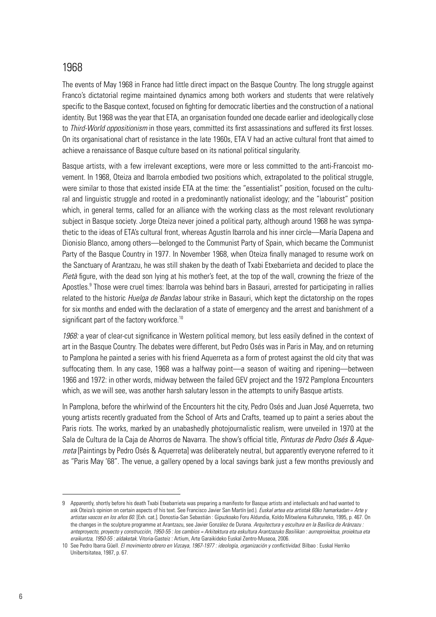### 1968

The events of May 1968 in France had little direct impact on the Basque Country. The long struggle against Franco's dictatorial regime maintained dynamics among both workers and students that were relatively specific to the Basque context, focused on fighting for democratic liberties and the construction of a national identity. But 1968 was the year that ETA, an organisation founded one decade earlier and ideologically close to *Third-World oppositionism* in those years, committed its first assassinations and suffered its first losses. On its organisational chart of resistance in the late 1960s, ETA V had an active cultural front that aimed to achieve a renaissance of Basque culture based on its national political singularity.

Basque artists, with a few irrelevant exceptions, were more or less committed to the anti-Francoist movement. In 1968, Oteiza and Ibarrola embodied two positions which, extrapolated to the political struggle, were similar to those that existed inside ETA at the time: the "essentialist" position, focused on the cultural and linguistic struggle and rooted in a predominantly nationalist ideology; and the "labourist" position which, in general terms, called for an alliance with the working class as the most relevant revolutionary subject in Basque society. Jorge Oteiza never joined a political party, although around 1968 he was sympathetic to the ideas of ETA's cultural front, whereas Agustín Ibarrola and his inner circle—María Dapena and Dionisio Blanco, among others—belonged to the Communist Party of Spain, which became the Communist Party of the Basque Country in 1977. In November 1968, when Oteiza finally managed to resume work on the Sanctuary of Arantzazu, he was still shaken by the death of Txabi Etxebarrieta and decided to place the *Pietà* figure, with the dead son lying at his mother's feet, at the top of the wall, crowning the frieze of the Apostles.<sup>9</sup> Those were cruel times: Ibarrola was behind bars in Basauri, arrested for participating in rallies related to the historic *Huelga de Bandas* labour strike in Basauri, which kept the dictatorship on the ropes for six months and ended with the declaration of a state of emergency and the arrest and banishment of a significant part of the factory workforce.<sup>10</sup>

*1968:* a year of clear-cut significance in Western political memory, but less easily defined in the context of art in the Basque Country. The debates were different, but Pedro Osés was in Paris in May, and on returning to Pamplona he painted a series with his friend Aquerreta as a form of protest against the old city that was suffocating them. In any case, 1968 was a halfway point—a season of waiting and ripening—between 1966 and 1972: in other words, midway between the failed GEV project and the 1972 Pamplona Encounters which, as we will see, was another harsh salutary lesson in the attempts to unify Basque artists.

In Pamplona, before the whirlwind of the Encounters hit the city, Pedro Osés and Juan José Aquerreta, two young artists recently graduated from the School of Arts and Crafts, teamed up to paint a series about the Paris riots. The works, marked by an unabashedly photojournalistic realism, were unveiled in 1970 at the Sala de Cultura de la Caja de Ahorros de Navarra. The show's official title, *Pinturas de Pedro Osés & Aquerreta* [Paintings by Pedro Osés & Aquerreta] was deliberately neutral, but apparently everyone referred to it as "Paris May '68". The venue, a gallery opened by a local savings bank just a few months previously and

<sup>9</sup> Apparently, shortly before his death Txabi Etxebarrieta was preparing a manifesto for Basque artists and intellectuals and had wanted to ask Oteiza's opinion on certain aspects of his text. See Francisco Javier San Martín (ed.). *Euskal artea eta artistak 60ko hamarkadan* = *Arte y artistas vascos en los años 60*. [Exh. cat.]. Donostia-San Sebastián : Gipuzkoako Foru Aldundia, Koldo Mitxelena Kulturuneko, 1995, p. 467. On the changes in the sculpture programme at Arantzazu, see Javier González de Durana. *Arquitectura y escultura en la Basílica de Aránzazu : anteproyecto, proyecto y construcción, 1950-55 : los cambios = Arkitektura eta eskultura Arantzazuko Basilikan : aurreproiektua, proiektua eta eraikuntza, 1950-55 : aldaketak*. Vitoria-Gasteiz : Artium, Arte Garaikideko Euskal Zentro-Museoa, 2006.

<sup>10</sup> See Pedro Ibarra Güell. *El movimiento obrero en Vizcaya, 1967-1977 : ideología, organización y conflictividad*. Bilbao : Euskal Herriko Unibertsitatea, 1987, p. 67.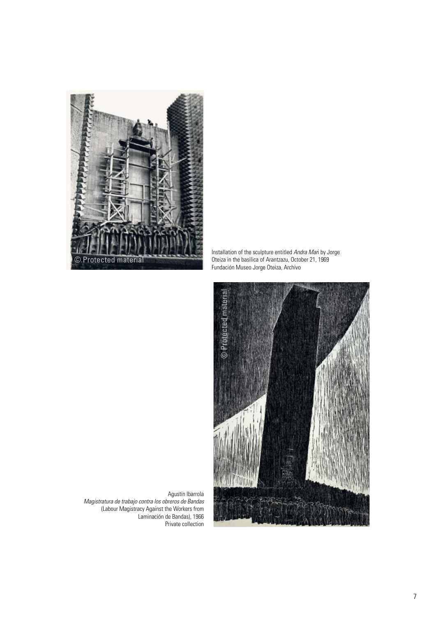

Installation of the sculpture entitled *Andra Mar*i by Jorge Oteiza in the basilica of Arantzazu, October 21, 1969 Fundación Museo Jorge Oteiza, Archivo



Agustín Ibarrola *Magistratura de trabajo contra los obreros de Bandas* (Labour Magistracy Against the Workers from Laminación de Bandas), 1966 Private collection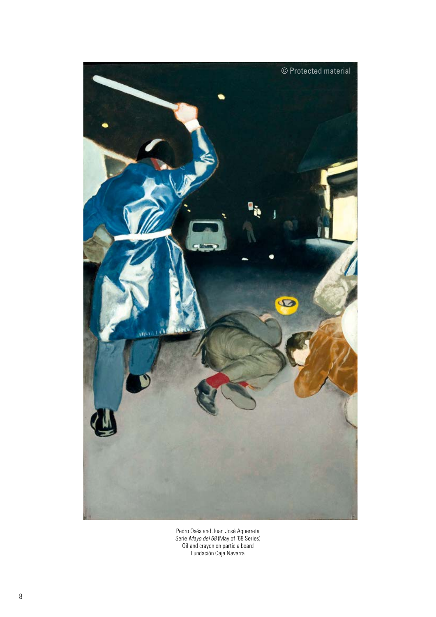

Pedro Osés and Juan José Aquerreta Serie *Mayo del 68* (May of '68 Series) Oil and crayon on particle board Fundación Caja Navarra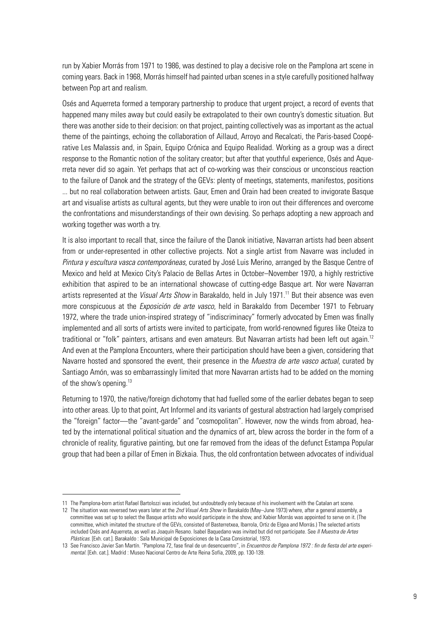run by Xabier Morrás from 1971 to 1986, was destined to play a decisive role on the Pamplona art scene in coming years. Back in 1968, Morrás himself had painted urban scenes in a style carefully positioned halfway between Pop art and realism.

Osés and Aquerreta formed a temporary partnership to produce that urgent project, a record of events that happened many miles away but could easily be extrapolated to their own country's domestic situation. But there was another side to their decision: on that project, painting collectively was as important as the actual theme of the paintings, echoing the collaboration of Aillaud, Arroyo and Recalcati, the Paris-based Coopérative Les Malassis and, in Spain, Equipo Crónica and Equipo Realidad. Working as a group was a direct response to the Romantic notion of the solitary creator; but after that youthful experience, Osés and Aquerreta never did so again. Yet perhaps that act of co-working was their conscious or unconscious reaction to the failure of Danok and the strategy of the GEVs: plenty of meetings, statements, manifestos, positions ... but no real collaboration between artists. Gaur, Emen and Orain had been created to invigorate Basque art and visualise artists as cultural agents, but they were unable to iron out their differences and overcome the confrontations and misunderstandings of their own devising. So perhaps adopting a new approach and working together was worth a try.

It is also important to recall that, since the failure of the Danok initiative, Navarran artists had been absent from or under-represented in other collective projects. Not a single artist from Navarre was included in *Pintura y escultura vasca contemporáneas*, curated by José Luis Merino, arranged by the Basque Centre of Mexico and held at Mexico City's Palacio de Bellas Artes in October–November 1970, a highly restrictive exhibition that aspired to be an international showcase of cutting-edge Basque art. Nor were Navarran artists represented at the *Visual Arts Show* in Barakaldo, held in July 1971.<sup>11</sup> But their absence was even more conspicuous at the *Exposición de arte vasco*, held in Barakaldo from December 1971 to February 1972, where the trade union-inspired strategy of "indiscriminacy" formerly advocated by Emen was finally implemented and all sorts of artists were invited to participate, from world-renowned figures like Oteiza to traditional or "folk" painters, artisans and even amateurs. But Navarran artists had been left out again.<sup>12</sup> And even at the Pamplona Encounters, where their participation should have been a given, considering that Navarre hosted and sponsored the event, their presence in the *Muestra de arte vasco actual*, curated by Santiago Amón, was so embarrassingly limited that more Navarran artists had to be added on the morning of the show's opening.<sup>13</sup>

Returning to 1970, the native/foreign dichotomy that had fuelled some of the earlier debates began to seep into other areas. Up to that point, Art Informel and its variants of gestural abstraction had largely comprised the "foreign" factor—the "avant-garde" and "cosmopolitan". However, now the winds from abroad, heated by the international political situation and the dynamics of art, blew across the border in the form of a chronicle of reality, figurative painting, but one far removed from the ideas of the defunct Estampa Popular group that had been a pillar of Emen in Bizkaia. Thus, the old confrontation between advocates of individual

<sup>11</sup> The Pamplona-born artist Rafael Bartolozzi was included, but undoubtedly only because of his involvement with the Catalan art scene.

<sup>12</sup> The situation was reversed two years later at the *2nd Visual Arts Show* in Barakaldo (May–June 1973) where, after a general assembly, a committee was set up to select the Basque artists who would participate in the show, and Xabier Morrás was appointed to serve on it. (The committee, which imitated the structure of the GEVs, consisted of Basterretxea, Ibarrola, Ortiz de Elgea and Morrás.) The selected artists included Osés and Aquerreta, as well as Joaquín Resano. Isabel Baquedano was invited but did not participate. See *II Muestra de Artes Plásticas*. [Exh. cat.]. Barakaldo : Sala Municipal de Exposiciones de la Casa Consistorial, 1973.

<sup>13</sup> See Francisco Javier San Martín. "Pamplona 72, fase final de un desencuentro", in *Encuentros de Pamplona 1972 : fin de fiesta del arte experimental*. [Exh. cat.]. Madrid : Museo Nacional Centro de Arte Reina Sofía, 2009, pp. 130-139.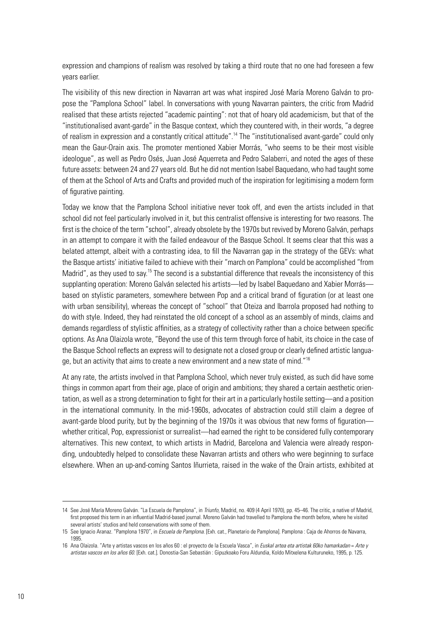expression and champions of realism was resolved by taking a third route that no one had foreseen a few years earlier.

The visibility of this new direction in Navarran art was what inspired José María Moreno Galván to propose the "Pamplona School" label. In conversations with young Navarran painters, the critic from Madrid realised that these artists rejected "academic painting": not that of hoary old academicism, but that of the "institutionalised avant-garde" in the Basque context, which they countered with, in their words, "a degree of realism in expression and a constantly critical attitude".14 The "institutionalised avant-garde" could only mean the Gaur-Orain axis. The promoter mentioned Xabier Morrás, "who seems to be their most visible ideologue", as well as Pedro Osés, Juan José Aquerreta and Pedro Salaberri, and noted the ages of these future assets: between 24 and 27 years old. But he did not mention Isabel Baquedano, who had taught some of them at the School of Arts and Crafts and provided much of the inspiration for legitimising a modern form of figurative painting.

Today we know that the Pamplona School initiative never took off, and even the artists included in that school did not feel particularly involved in it, but this centralist offensive is interesting for two reasons. The first is the choice of the term "school", already obsolete by the 1970s but revived by Moreno Galván, perhaps in an attempt to compare it with the failed endeavour of the Basque School. It seems clear that this was a belated attempt, albeit with a contrasting idea, to fill the Navarran gap in the strategy of the GEVs: what the Basque artists' initiative failed to achieve with their "march on Pamplona" could be accomplished "from Madrid", as they used to say.<sup>15</sup> The second is a substantial difference that reveals the inconsistency of this supplanting operation: Moreno Galván selected his artists—led by Isabel Baquedano and Xabier Morrás based on stylistic parameters, somewhere between Pop and a critical brand of figuration (or at least one with urban sensibility), whereas the concept of "school" that Oteiza and Ibarrola proposed had nothing to do with style. Indeed, they had reinstated the old concept of a school as an assembly of minds, claims and demands regardless of stylistic affinities, as a strategy of collectivity rather than a choice between specific options. As Ana Olaizola wrote, "Beyond the use of this term through force of habit, its choice in the case of the Basque School reflects an express will to designate not a closed group or clearly defined artistic language, but an activity that aims to create a new environment and a new state of mind."16

At any rate, the artists involved in that Pamplona School, which never truly existed, as such did have some things in common apart from their age, place of origin and ambitions; they shared a certain aesthetic orientation, as well as a strong determination to fight for their art in a particularly hostile setting—and a position in the international community. In the mid-1960s, advocates of abstraction could still claim a degree of avant-garde blood purity, but by the beginning of the 1970s it was obvious that new forms of figuration whether critical, Pop, expressionist or surrealist—had earned the right to be considered fully contemporary alternatives. This new context, to which artists in Madrid, Barcelona and Valencia were already responding, undoubtedly helped to consolidate these Navarran artists and others who were beginning to surface elsewhere. When an up-and-coming Santos Iñurrieta, raised in the wake of the Orain artists, exhibited at

<sup>14</sup> See José María Moreno Galván. "La Escuela de Pamplona", in *Triunfo,* Madrid, no. 409 (4 April 1970), pp. 45–46. The critic, a native of Madrid, first proposed this term in an influential Madrid-based journal. Moreno Galván had travelled to Pamplona the month before, where he visited several artists' studios and held conservations with some of them.

<sup>15</sup> See Ignacio Aranaz. "Pamplona 1970", in *Escuela de Pamplona*. [Exh. cat., Planetario de Pamplona]. Pamplona : Caja de Ahorros de Navarra, 1995.

<sup>16</sup> Ana Olaizola. "Arte y artistas vascos en los años 60 : el proyecto de la Escuela Vasca", in *Euskal artea eta artistak 60ko hamarkadan* = *Arte y artistas vascos en los años 60*. [Exh. cat.]. Donostia-San Sebastián : Gipuzkoako Foru Aldundia, Koldo Mitxelena Kulturuneko, 1995, p. 125.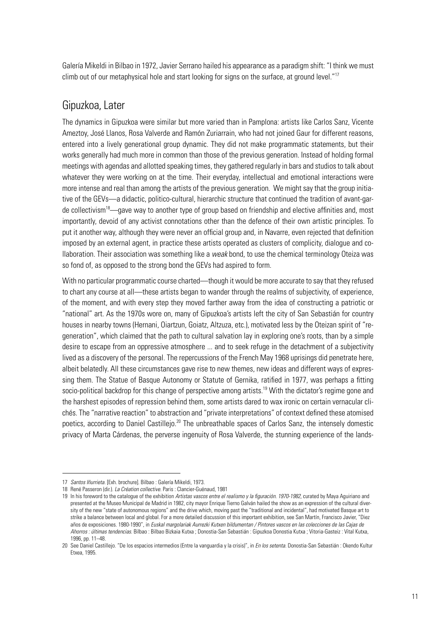Galería Mikeldi in Bilbao in 1972, Javier Serrano hailed his appearance as a paradigm shift: "I think we must climb out of our metaphysical hole and start looking for signs on the surface, at ground level."<sup>17</sup>

### Gipuzkoa, Later

The dynamics in Gipuzkoa were similar but more varied than in Pamplona: artists like Carlos Sanz, Vicente Ameztoy, José Llanos, Rosa Valverde and Ramón Zuriarrain, who had not joined Gaur for different reasons, entered into a lively generational group dynamic. They did not make programmatic statements, but their works generally had much more in common than those of the previous generation. Instead of holding formal meetings with agendas and allotted speaking times, they gathered regularly in bars and studios to talk about whatever they were working on at the time. Their everyday, intellectual and emotional interactions were more intense and real than among the artists of the previous generation. We might say that the group initiative of the GEVs—a didactic, politico-cultural, hierarchic structure that continued the tradition of avant-garde collectivism<sup>18</sup>—gave way to another type of group based on friendship and elective affinities and, most importantly, devoid of any activist connotations other than the defence of their own artistic principles. To put it another way, although they were never an official group and, in Navarre, even rejected that definition imposed by an external agent, in practice these artists operated as clusters of complicity, dialogue and collaboration. Their association was something like a *weak* bond, to use the chemical terminology Oteiza was so fond of, as opposed to the strong bond the GEVs had aspired to form.

With no particular programmatic course charted—though it would be more accurate to say that they refused to chart any course at all—these artists began to wander through the realms of subjectivity, of experience, of the moment, and with every step they moved farther away from the idea of constructing a patriotic or "national" art. As the 1970s wore on, many of Gipuzkoa's artists left the city of San Sebastián for country houses in nearby towns (Hernani, Oiartzun, Goiatz, Altzuza, etc.), motivated less by the Oteizan spirit of "regeneration", which claimed that the path to cultural salvation lay in exploring one's roots, than by a simple desire to escape from an oppressive atmosphere ... and to seek refuge in the detachment of a subjectivity lived as a discovery of the personal. The repercussions of the French May 1968 uprisings did penetrate here, albeit belatedly. All these circumstances gave rise to new themes, new ideas and different ways of expressing them. The Statue of Basque Autonomy or Statute of Gernika, ratified in 1977, was perhaps a fitting socio-political backdrop for this change of perspective among artists.<sup>19</sup> With the dictator's regime gone and the harshest episodes of repression behind them, some artists dared to wax ironic on certain vernacular clichés. The "narrative reaction" to abstraction and "private interpretations" of context defined these atomised poetics, according to Daniel Castillejo.<sup>20</sup> The unbreathable spaces of Carlos Sanz, the intensely domestic privacy of Marta Cárdenas, the perverse ingenuity of Rosa Valverde, the stunning experience of the lands-

<sup>17</sup> *Santos Iñurrieta*. [Exh. brochure]. Bilbao : Galería Mikeldi, 1973.

<sup>18</sup> René Passeron (dir.). *La Création collective.* Paris : Clancier-Guénaud, 1981

<sup>19</sup> In his foreword to the catalogue of the exhibition *Artistas vascos entre el realismo y la figuración. 1970-1982*, curated by Maya Aguiriano and presented at the Museo Municipal de Madrid in 1982, city mayor Enrique Tierno Galván hailed the show as an expression of the cultural diversity of the new "state of autonomous regions" and the drive which, moving past the "traditional and incidental", had motivated Basque art to strike a balance between local and global. For a more detailed discussion of this important exhibition, see San Martín, Francisco Javier, "Diez años de exposiciones. 1980-1990", in *Euskal margolariak Aurrezki Kutxen bildumentan / Pintores vascos en las colecciones de las Cajas de Ahorros : últimas tendencias*. Bilbao : Bilbao Bizkaia Kutxa ; Donostia-San Sebastián : Gipuzkoa Donostia Kutxa ; Vitoria-Gasteiz : Vital Kutxa, 1996, pp. 11–48.

<sup>20</sup> See Daniel Castillejo. "De los espacios intermedios (Entre la vanguardia y la crisis)", in *En los setenta*. Donostia-San Sebastián : Okendo Kultur Etxea, 1995.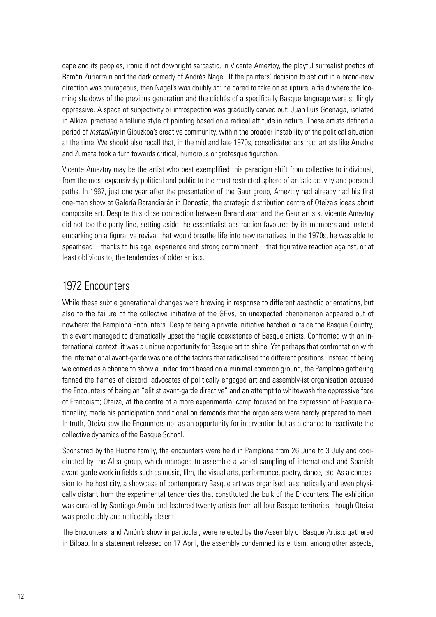cape and its peoples, ironic if not downright sarcastic, in Vicente Ameztoy, the playful surrealist poetics of Ramón Zuriarrain and the dark comedy of Andrés Nagel. If the painters' decision to set out in a brand-new direction was courageous, then Nagel's was doubly so: he dared to take on sculpture, a field where the looming shadows of the previous generation and the clichés of a specifically Basque language were stiflingly oppressive. A space of subjectivity or introspection was gradually carved out: Juan Luis Goenaga, isolated in Alkiza, practised a telluric style of painting based on a radical attitude in nature. These artists defined a period of *instability* in Gipuzkoa's creative community, within the broader instability of the political situation at the time. We should also recall that, in the mid and late 1970s, consolidated abstract artists like Amable and Zumeta took a turn towards critical, humorous or grotesque figuration.

Vicente Ameztoy may be the artist who best exemplified this paradigm shift from collective to individual, from the most expansively political and public to the most restricted sphere of artistic activity and personal paths. In 1967, just one year after the presentation of the Gaur group, Ameztoy had already had his first one-man show at Galería Barandiarán in Donostia, the strategic distribution centre of Oteiza's ideas about composite art. Despite this close connection between Barandiarán and the Gaur artists, Vicente Ameztoy did not toe the party line, setting aside the essentialist abstraction favoured by its members and instead embarking on a figurative revival that would breathe life into new narratives. In the 1970s, he was able to spearhead—thanks to his age, experience and strong commitment—that figurative reaction against, or at least oblivious to, the tendencies of older artists.

# 1972 Encounters

While these subtle generational changes were brewing in response to different aesthetic orientations, but also to the failure of the collective initiative of the GEVs, an unexpected phenomenon appeared out of nowhere: the Pamplona Encounters. Despite being a private initiative hatched outside the Basque Country, this event managed to dramatically upset the fragile coexistence of Basque artists. Confronted with an international context, it was a unique opportunity for Basque art to shine. Yet perhaps that confrontation with the international avant-garde was one of the factors that radicalised the different positions. Instead of being welcomed as a chance to show a united front based on a minimal common ground, the Pamplona gathering fanned the flames of discord: advocates of politically engaged art and assembly-ist organisation accused the Encounters of being an "elitist avant-garde directive" and an attempt to whitewash the oppressive face of Francoism; Oteiza, at the centre of a more experimental camp focused on the expression of Basque nationality, made his participation conditional on demands that the organisers were hardly prepared to meet. In truth, Oteiza saw the Encounters not as an opportunity for intervention but as a chance to reactivate the collective dynamics of the Basque School.

Sponsored by the Huarte family, the encounters were held in Pamplona from 26 June to 3 July and coordinated by the Alea group, which managed to assemble a varied sampling of international and Spanish avant-garde work in fields such as music, film, the visual arts, performance, poetry, dance, etc. As a concession to the host city, a showcase of contemporary Basque art was organised, aesthetically and even physically distant from the experimental tendencies that constituted the bulk of the Encounters. The exhibition was curated by Santiago Amón and featured twenty artists from all four Basque territories, though Oteiza was predictably and noticeably absent.

The Encounters, and Amón's show in particular, were rejected by the Assembly of Basque Artists gathered in Bilbao. In a statement released on 17 April, the assembly condemned its elitism, among other aspects,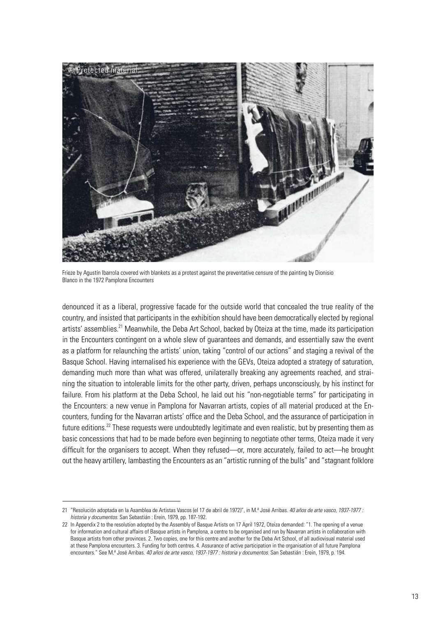

Frieze by Agustín Ibarrola covered with blankets as a protest against the preventative censure of the painting by Dionisio Blanco in the 1972 Pamplona Encounters

denounced it as a liberal, progressive facade for the outside world that concealed the true reality of the country, and insisted that participants in the exhibition should have been democratically elected by regional artists' assemblies.<sup>21</sup> Meanwhile, the Deba Art School, backed by Oteiza at the time, made its participation in the Encounters contingent on a whole slew of guarantees and demands, and essentially saw the event as a platform for relaunching the artists' union, taking "control of our actions" and staging a revival of the Basque School. Having internalised his experience with the GEVs, Oteiza adopted a strategy of saturation, demanding much more than what was offered, unilaterally breaking any agreements reached, and straining the situation to intolerable limits for the other party, driven, perhaps unconsciously, by his instinct for failure. From his platform at the Deba School, he laid out his "non-negotiable terms" for participating in the Encounters: a new venue in Pamplona for Navarran artists, copies of all material produced at the Encounters, funding for the Navarran artists' office and the Deba School, and the assurance of participation in future editions.<sup>22</sup> These requests were undoubtedly legitimate and even realistic, but by presenting them as basic concessions that had to be made before even beginning to negotiate other terms, Oteiza made it very difficult for the organisers to accept. When they refused—or, more accurately, failed to act—he brought out the heavy artillery, lambasting the Encounters as an "artistic running of the bulls" and "stagnant folklore

<sup>21</sup> "Resolución adoptada en la Asamblea de Artistas Vascos (el 17 de abril de 1972)", in M.ª José Arribas. *40 años de arte vasco, 1937-1977 : historia y documentos*. San Sebastián : Erein, 1979, pp. 187-192.

<sup>22</sup> In Appendix 2 to the resolution adopted by the Assembly of Basque Artists on 17 April 1972, Oteiza demanded: "1. The opening of a venue for information and cultural affairs of Basque artists in Pamplona, a centre to be organised and run by Navarran artists in collaboration with Basque artists from other provinces. 2. Two copies, one for this centre and another for the Deba Art School, of all audiovisual material used at these Pamplona encounters. 3. Funding for both centres. 4. Assurance of active participation in the organisation of all future Pamplona encounters." See M.ª José Arribas. *40 años de arte vasco, 1937-1977 : historia y documentos*. San Sebastián : Erein, 1979, p. 194.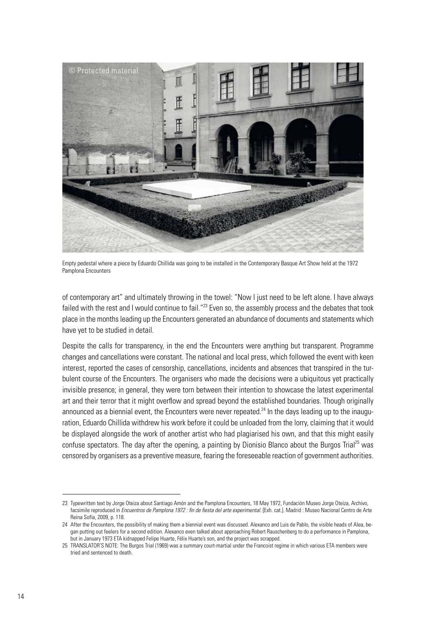

Empty pedestal where a piece by Eduardo Chillida was going to be installed in the Contemporary Basque Art Show held at the 1972 Pamplona Encounters

of contemporary art" and ultimately throwing in the towel: "Now I just need to be left alone. I have always failed with the rest and I would continue to fail."<sup>23</sup> Even so, the assembly process and the debates that took place in the months leading up the Encounters generated an abundance of documents and statements which have yet to be studied in detail.

Despite the calls for transparency, in the end the Encounters were anything but transparent. Programme changes and cancellations were constant. The national and local press, which followed the event with keen interest, reported the cases of censorship, cancellations, incidents and absences that transpired in the turbulent course of the Encounters. The organisers who made the decisions were a ubiquitous yet practically invisible presence; in general, they were torn between their intention to showcase the latest experimental art and their terror that it might overflow and spread beyond the established boundaries. Though originally announced as a biennial event, the Encounters were never repeated.<sup>24</sup> In the days leading up to the inauguration, Eduardo Chillida withdrew his work before it could be unloaded from the lorry, claiming that it would be displayed alongside the work of another artist who had plagiarised his own, and that this might easily confuse spectators. The day after the opening, a painting by Dionisio Blanco about the Burgos Trial<sup>25</sup> was censored by organisers as a preventive measure, fearing the foreseeable reaction of government authorities.

<sup>23</sup> Typewritten text by Jorge Oteiza about Santiago Amón and the Pamplona Encounters, 18 May 1972, Fundación Museo Jorge Oteiza, Archivo, facsimile reproduced in *Encuentros de Pamplona 1972 : fin de fiesta del arte experimental*. [Exh. cat.]. Madrid : Museo Nacional Centro de Arte Reina Sofía, 2009, p. 118.

<sup>24</sup> After the Encounters, the possibility of making them a biennial event was discussed. Alexanco and Luis de Pablo, the visible heads of Alea, began putting out feelers for a second edition. Alexanco even talked about approaching Robert Rauschenberg to do a performance in Pamplona, but in January 1973 ETA kidnapped Felipe Huarte, Félix Huarte's son, and the project was scrapped.

<sup>25</sup> TRANSLATOR'S NOTE: The Burgos Trial (1969) was a summary court-martial under the Francoist regime in which various ETA members were tried and sentenced to death.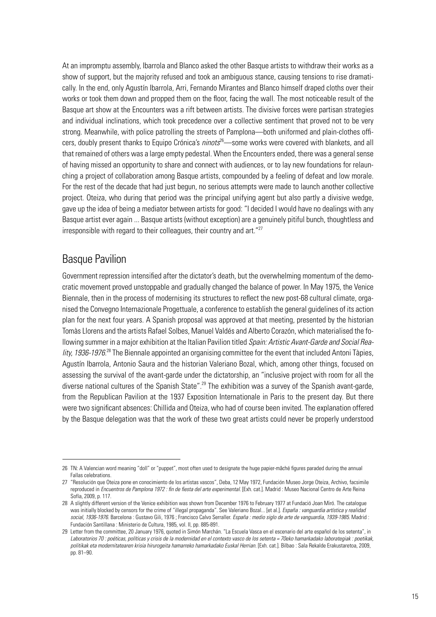At an impromptu assembly, Ibarrola and Blanco asked the other Basque artists to withdraw their works as a show of support, but the majority refused and took an ambiguous stance, causing tensions to rise dramatically. In the end, only Agustín Ibarrola, Arri, Fernando Mirantes and Blanco himself draped cloths over their works or took them down and propped them on the floor, facing the wall. The most noticeable result of the Basque art show at the Encounters was a rift between artists. The divisive forces were partisan strategies and individual inclinations, which took precedence over a collective sentiment that proved not to be very strong. Meanwhile, with police patrolling the streets of Pamplona—both uniformed and plain-clothes officers, doubly present thanks to Equipo Crónica's *ninots*26—some works were covered with blankets, and all that remained of others was a large empty pedestal. When the Encounters ended, there was a general sense of having missed an opportunity to share and connect with audiences, or to lay new foundations for relaunching a project of collaboration among Basque artists, compounded by a feeling of defeat and low morale. For the rest of the decade that had just begun, no serious attempts were made to launch another collective project. Oteiza, who during that period was the principal unifying agent but also partly a divisive wedge, gave up the idea of being a mediator between artists for good: "I decided I would have no dealings with any Basque artist ever again ... Basque artists (without exception) are a genuinely pitiful bunch, thoughtless and  $i$ rresponsible with regard to their colleagues, their country and art." $27$ 

# Basque Pavilion

Government repression intensified after the dictator's death, but the overwhelming momentum of the democratic movement proved unstoppable and gradually changed the balance of power. In May 1975, the Venice Biennale, then in the process of modernising its structures to reflect the new post-68 cultural climate, organised the Convegno Internazionale Progettuale, a conference to establish the general guidelines of its action plan for the next four years. A Spanish proposal was approved at that meeting, presented by the historian Tomàs Llorens and the artists Rafael Solbes, Manuel Valdés and Alberto Corazón, which materialised the following summer in a major exhibition at the Italian Pavilion titled *Spain: Artistic Avant-Garde and Social Rea*lity, 1936-1976.<sup>28</sup> The Biennale appointed an organising committee for the event that included Antoni Tàpies, Agustín Ibarrola, Antonio Saura and the historian Valeriano Bozal, which, among other things, focused on assessing the survival of the avant-garde under the dictatorship, an "inclusive project with room for all the diverse national cultures of the Spanish State".<sup>29</sup> The exhibition was a survey of the Spanish avant-garde, from the Republican Pavilion at the 1937 Exposition Internationale in Paris to the present day. But there were two significant absences: Chillida and Oteiza, who had of course been invited. The explanation offered by the Basque delegation was that the work of these two great artists could never be properly understood

<sup>26</sup> TN: A Valencian word meaning "doll" or "puppet", most often used to designate the huge papier-mâché figures paraded during the annual Fallas celebrations.

<sup>27</sup> "Resolución que Oteiza pone en conocimiento de los artistas vascos", Deba, 12 May 1972, Fundación Museo Jorge Oteiza, Archivo, facsimile reproduced in *Encuentros de Pamplona 1972 : fin de fiesta del arte experimental*. [Exh. cat.]. Madrid : Museo Nacional Centro de Arte Reina Sofía, 2009, p. 117.

<sup>28</sup> A slightly different version of the Venice exhibition was shown from December 1976 to February 1977 at Fundació Joan Miró. The catalogue was initially blocked by censors for the crime of "illegal propaganda". See Valeriano Bozal... [et al.]. *España : vanguardia artística y realidad social, 1936-1976*. Barcelona : Gustavo Gili, 1976 ; Francisco Calvo Serraller. *España : medio siglo de arte de vanguardia, 1939-1985*. Madrid : Fundación Santillana : Ministerio de Cultura, 1985, vol. II, pp. 885-891.

<sup>29</sup> Letter from the committee, 20 January 1976, quoted in Simón Marchán. "La Escuela Vasca en el escenario del arte español de los setenta", in *Laboratorios 70 : poéticas, políticas y crisis de la modernidad en el contexto vasco de los setenta = 70eko hamarkadako laborategiak : poetikak, politikak eta modernitatearen krisia hirurogeita hamarreko hamarkadako Euskal Herrian*. [Exh. cat.]. Bilbao : Sala Rekalde Erakustaretoa, 2009, pp. 81–90.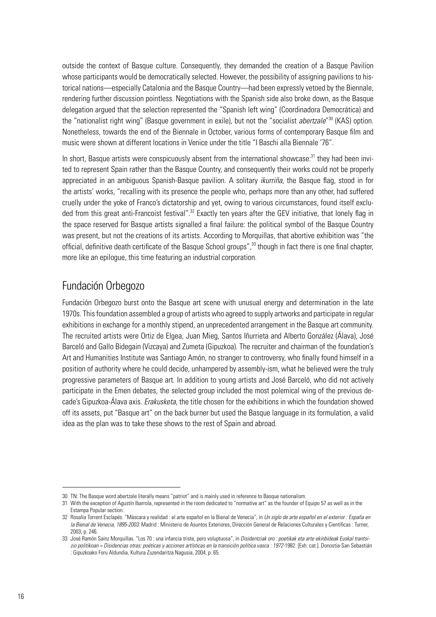outside the context of Basque culture. Consequently, they demanded the creation of a Basque Pavilion whose participants would be democratically selected. However, the possibility of assigning pavilions to historical nations—especially Catalonia and the Basque Country—had been expressly vetoed by the Biennale, rendering further discussion pointless. Negotiations with the Spanish side also broke down, as the Basque delegation argued that the selection represented the "Spanish left wing" (Coordinadora Democrática) and the "nationalist right wing" (Basque government in exile), but not the "socialist *abertzale*" 30 (KAS) option. Nonetheless, towards the end of the Biennale in October, various forms of contemporary Basque film and music were shown at different locations in Venice under the title "I Baschi alla Biennale '76".

In short, Basque artists were conspicuously absent from the international showcase:<sup>31</sup> they had been invited to represent Spain rather than the Basque Country, and consequently their works could not be properly appreciated in an ambiguous Spanish-Basque pavilion. A solitary *ikurriña*, the Basque flag, stood in for the artists' works, "recalling with its presence the people who, perhaps more than any other, had suffered cruelly under the yoke of Franco's dictatorship and yet, owing to various circumstances, found itself excluded from this great anti-Francoist festival".<sup>32</sup> Exactly ten years after the GEV initiative, that lonely flag in the space reserved for Basque artists signalled a final failure: the political symbol of the Basque Country was present, but not the creations of its artists. According to Morquillas, that abortive exhibition was "the official, definitive death certificate of the Basque School groups",<sup>33</sup> though in fact there is one final chapter, more like an epilogue, this time featuring an industrial corporation.

# Fundación Orbegozo

Fundación Orbegozo burst onto the Basque art scene with unusual energy and determination in the late 1970s. This foundation assembled a group of artists who agreed to supply artworks and participate in regular exhibitions in exchange for a monthly stipend, an unprecedented arrangement in the Basque art community. The recruited artists were Ortiz de Elgea, Juan Mieg, Santos Iñurrieta and Alberto González (Álava), José Barceló and Gallo Bidegain (Vizcaya) and Zumeta (Gipuzkoa). The recruiter and chairman of the foundation's Art and Humanities Institute was Santiago Amón, no stranger to controversy, who finally found himself in a position of authority where he could decide, unhampered by assembly-ism, what he believed were the truly progressive parameters of Basque art. In addition to young artists and José Barceló, who did not actively participate in the Emen debates, the selected group included the most polemical wing of the previous decade's Gipuzkoa-Álava axis. *Erakusketa*, the title chosen for the exhibitions in which the foundation showed off its assets, put "Basque art" on the back burner but used the Basque language in its formulation, a valid idea as the plan was to take these shows to the rest of Spain and abroad.

<sup>30</sup> TN: The Basque word abertzale literally means "patriot" and is mainly used in reference to Basque nationalism.

<sup>31</sup> With the exception of Agustín Ibarrola, represented in the room dedicated to "normative art" as the founder of Equipo 57 as well as in the Estampa Popular section.

<sup>32</sup> Rosalía Torrent Esclapés. "Máscara y realidad : el arte español en la Bienal de Venecia", in *Un siglo de arte español en el exterior : España en la Bienal de Venecia, 1895-2003*. Madrid : Ministerio de Asuntos Exteriores, Dirección General de Relaciones Culturales y Científicas : Turner, 2003, p. 246.

<sup>33</sup> José Ramón Sainz Morquillas. "Los 70 : una infancia triste, pero voluptuosa", in *Disidentziak oro : poetikak eta arte ekinbideak Euskal trantsizio politikoan = Disidencias otras: poéticas y acciones artísticas en la transición política vasca : 1972-*1982. [Exh. cat.]. Donostia-San Sebastián : Gipuzkoako Foru Aldundia, Kultura Zuzendaritza Nagusia, 2004, p. 65.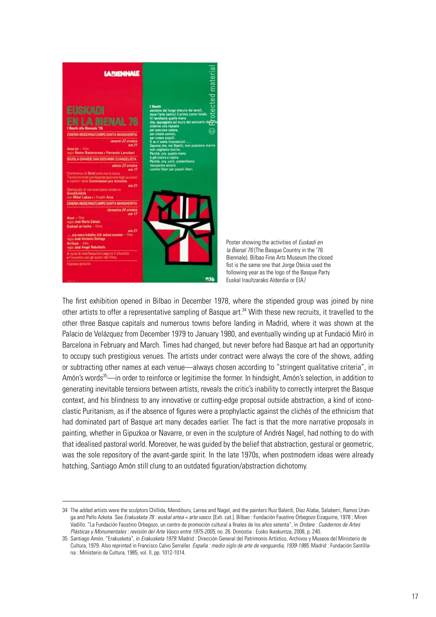

Poster showing the activities of *Euskadi en la Bienal 76* (The Basque Country in the '76 Biennale). Bilbao Fine Arts Museum (the closed fist is the same one that Jorge Oteiza used the following year as the logo of the Basque Party Euskal Iraultzarako Alderdia or EIA*)*

The first exhibition opened in Bilbao in December 1978, where the stipended group was joined by nine other artists to offer a representative sampling of Basque art.<sup>34</sup> With these new recruits, it travelled to the other three Basque capitals and numerous towns before landing in Madrid, where it was shown at the Palacio de Velázquez from December 1979 to January 1980, and eventually winding up at Fundació Miró in Barcelona in February and March. Times had changed, but never before had Basque art had an opportunity to occupy such prestigious venues. The artists under contract were always the core of the shows, adding or subtracting other names at each venue—always chosen according to "stringent qualitative criteria", in Amón's words<sup>35</sup>—in order to reinforce or legitimise the former. In hindsight, Amón's selection, in addition to generating inevitable tensions between artists, reveals the critic's inability to correctly interpret the Basque context, and his blindness to any innovative or cutting-edge proposal outside abstraction, a kind of iconoclastic Puritanism, as if the absence of figures were a prophylactic against the clichés of the ethnicism that had dominated part of Basque art many decades earlier. The fact is that the more narrative proposals in painting, whether in Gipuzkoa or Navarre, or even in the sculpture of Andrés Nagel, had nothing to do with that idealised pastoral world. Moreover, he was guided by the belief that abstraction, gestural or geometric, was the sole repository of the avant-garde spirit. In the late 1970s, when postmodern ideas were already hatching, Santiago Amón still clung to an outdated figuration/abstraction dichotomy.

<sup>34</sup> The added artists were the sculptors Chillida, Mendiburu, Larrea and Nagel, and the painters Ruiz Balerdi, Díez Alaba, Salaberri, Ramos Uranga and Pello Azketa. See *Erakusketa 78 : euskal artea = arte vasco*. [Exh. cat.]. Bilbao : Fundación Faustino Orbegozo Eizaguirre, 1978 ; Miren Vadillo. "La Fundación Faustino Orbegozo, un centro de promoción cultural a finales de los años setenta", in *Ondare : Cuadernos de Artes Plásticas y Monumentales : revisión del Arte Vasco entre 1975-2005*, no. 26. Donostia : Eusko Ikaskuntza, 2008, p. 240.

<sup>35</sup> Santiago Amón. "Erakusketa", in *Erakusketa 1979*. Madrid : Dirección General del Patrimonio Artístico, Archivos y Museos del Ministerio de Cultura, 1979. Also reprinted in Francisco Calvo Serraller. *España : medio siglo de arte de vanguardia, 1939-1985*. Madrid : Fundación Santillana : Ministerio de Cultura, 1985, vol. II, pp. 1012-1014.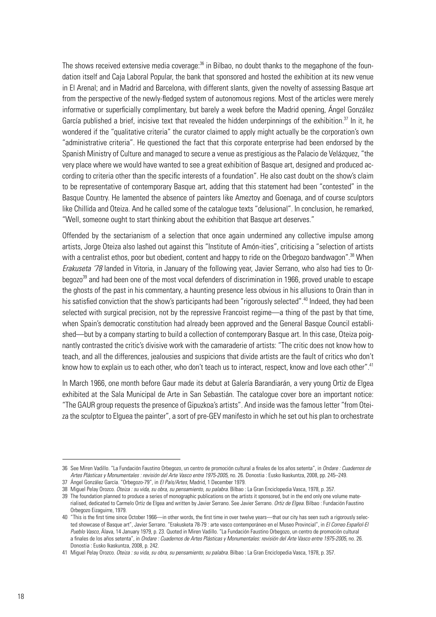The shows received extensive media coverage:<sup>36</sup> in Bilbao, no doubt thanks to the megaphone of the foundation itself and Caja Laboral Popular, the bank that sponsored and hosted the exhibition at its new venue in El Arenal; and in Madrid and Barcelona, with different slants, given the novelty of assessing Basque art from the perspective of the newly-fledged system of autonomous regions. Most of the articles were merely informative or superficially complimentary, but barely a week before the Madrid opening, Ángel González García published a brief, incisive text that revealed the hidden underpinnings of the exhibition.<sup>37</sup> In it, he wondered if the "qualitative criteria" the curator claimed to apply might actually be the corporation's own "administrative criteria". He questioned the fact that this corporate enterprise had been endorsed by the Spanish Ministry of Culture and managed to secure a venue as prestigious as the Palacio de Velázquez, "the very place where we would have wanted to see a great exhibition of Basque art, designed and produced according to criteria other than the specific interests of a foundation". He also cast doubt on the show's claim to be representative of contemporary Basque art, adding that this statement had been "contested" in the Basque Country. He lamented the absence of painters like Ameztoy and Goenaga, and of course sculptors like Chillida and Oteiza. And he called some of the catalogue texts "delusional". In conclusion, he remarked, "Well, someone ought to start thinking about the exhibition that Basque art deserves."

Offended by the sectarianism of a selection that once again undermined any collective impulse among artists, Jorge Oteiza also lashed out against this "Institute of Amón-ities", criticising a "selection of artists with a centralist ethos, poor but obedient, content and happy to ride on the Orbegozo bandwagon".<sup>38</sup> When *Erakuseta '78* landed in Vitoria, in January of the following year, Javier Serrano, who also had ties to Orbegozo<sup>39</sup> and had been one of the most vocal defenders of discrimination in 1966, proved unable to escape the ghosts of the past in his commentary, a haunting presence less obvious in his allusions to Orain than in his satisfied conviction that the show's participants had been "rigorously selected".<sup>40</sup> Indeed, they had been selected with surgical precision, not by the repressive Francoist regime—a thing of the past by that time, when Spain's democratic constitution had already been approved and the General Basque Council established—but by a company starting to build a collection of contemporary Basque art. In this case, Oteiza poignantly contrasted the critic's divisive work with the camaraderie of artists: "The critic does not know how to teach, and all the differences, jealousies and suspicions that divide artists are the fault of critics who don't know how to explain us to each other, who don't teach us to interact, respect, know and love each other".<sup>41</sup>

In March 1966, one month before Gaur made its debut at Galería Barandiarán, a very young Ortiz de Elgea exhibited at the Sala Municipal de Arte in San Sebastián. The catalogue cover bore an important notice: "The GAUR group requests the presence of Gipuzkoa's artists". And inside was the famous letter "from Oteiza the sculptor to Elguea the painter", a sort of pre-GEV manifesto in which he set out his plan to orchestrate

<sup>36</sup> See Miren Vadillo. "La Fundación Faustino Orbegozo, un centro de promoción cultural a finales de los años setenta", in *Ondare : Cuadernos de Artes Plásticas y Monumentales : revisión del Arte Vasco entre 1975-2005*, no. 26. Donostia : Eusko Ikaskuntza, 2008, pp. 245–249. 37 Ángel González García. "Orbegozo-79", in *El País/Artes,* Madrid, 1 December 1979.

<sup>38</sup> Miguel Pelay Orozco. *Oteiza : su vida, su obra, su pensamiento, su palabra*. Bilbao : La Gran Enciclopedia Vasca, 1978, p. 357.

<sup>39</sup> The foundation planned to produce a series of monographic publications on the artists it sponsored, but in the end only one volume materialised, dedicated to Carmelo Ortiz de Elgea and written by Javier Serrano. See Javier Serrano. *Ortiz de Elgea.* Bilbao : Fundación Faustino Orbegozo Eizaguirre, 1979.

<sup>40</sup> "This is the first time since October 1966—in other words, the first time in over twelve years—that our city has seen such a rigorously selected showcase of Basque art", Javier Serrano. "Erakusketa 78-79 : arte vasco contemporáneo en el Museo Provincial", in *El Correo Español-El Pueblo Vasco,* Álava, 14 January 1979, p. 23. Quoted in Miren Vadillo. "La Fundación Faustino Orbegozo, un centro de promoción cultural a finales de los años setenta", in *Ondare : Cuadernos de Artes Plásticas y Monumentales: revisión del Arte Vasco entre 1975-2005*, no. 26. Donostia : Eusko Ikaskuntza, 2008, p. 242.

<sup>41</sup> Miguel Pelay Orozco. *Oteiza : su vida, su obra, su pensamiento, su palabra.* Bilbao : La Gran Enciclopedia Vasca, 1978, p. 357.